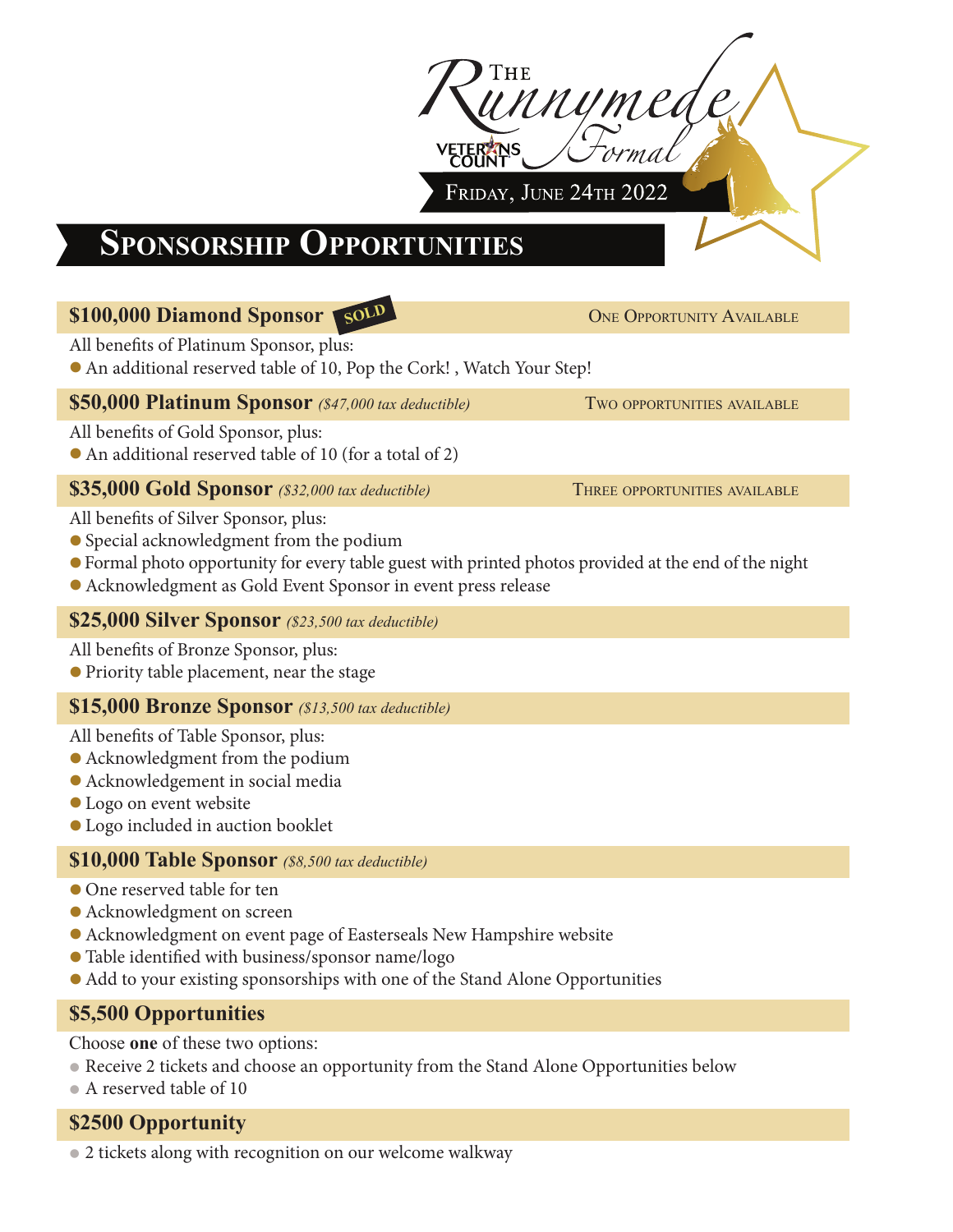

# **Sponsorship Opportunities**

### **\$100,000 Diamond Sponsor** One Opportunity Available **SOLD**

All benefits of Platinum Sponsor, plus:

**•**An additional reserved table of 10, Pop the Cork! , Watch Your Step!

#### **\$50,000 Platinum Sponsor** *(\$47,000 tax deductible)* Two opportunities available

All benefits of Gold Sponsor, plus:

**•**An additional reserved table of 10 (for a total of 2)

### **\$35,000 Gold Sponsor** *(\$32,000 tax deductible)* THREE OPPORTUNITIES AVAILABLE

All benefits of Silver Sponsor, plus:

- **•**Special acknowledgment from the podium
- **•**Formal photo opportunity for every table guest with printed photos provided at the end of the night
- **•**Acknowledgment as Gold Event Sponsor in event press release

### **\$25,000 Silver Sponsor** *(\$23,500 tax deductible)*

All benefits of Bronze Sponsor, plus:

**•**Priority table placement, near the stage

### **\$15,000 Bronze Sponsor** *(\$13,500 tax deductible)*

All benefits of Table Sponsor, plus:

- **•**Acknowledgment from the podium
- **•**Acknowledgement in social media
- **•**Logo on event website
- **•**Logo included in auction booklet

### **\$10,000 Table Sponsor** *(\$8,500 tax deductible)*

- **•**One reserved table for ten
- **•**Acknowledgment on screen
- **•**Acknowledgment on event page of Easterseals New Hampshire website
- **•**Table identified with business/sponsor name/logo
- **•**Add to your existing sponsorships with one of the Stand Alone Opportunities

## **\$5,500 Opportunities**

Choose **one** of these two options:

- **•**Receive 2 tickets and choose an opportunity from the Stand Alone Opportunities below
- **•**A reserved table of 10

### **\$2500 Opportunity**

**•**2 tickets along with recognition on our welcome walkway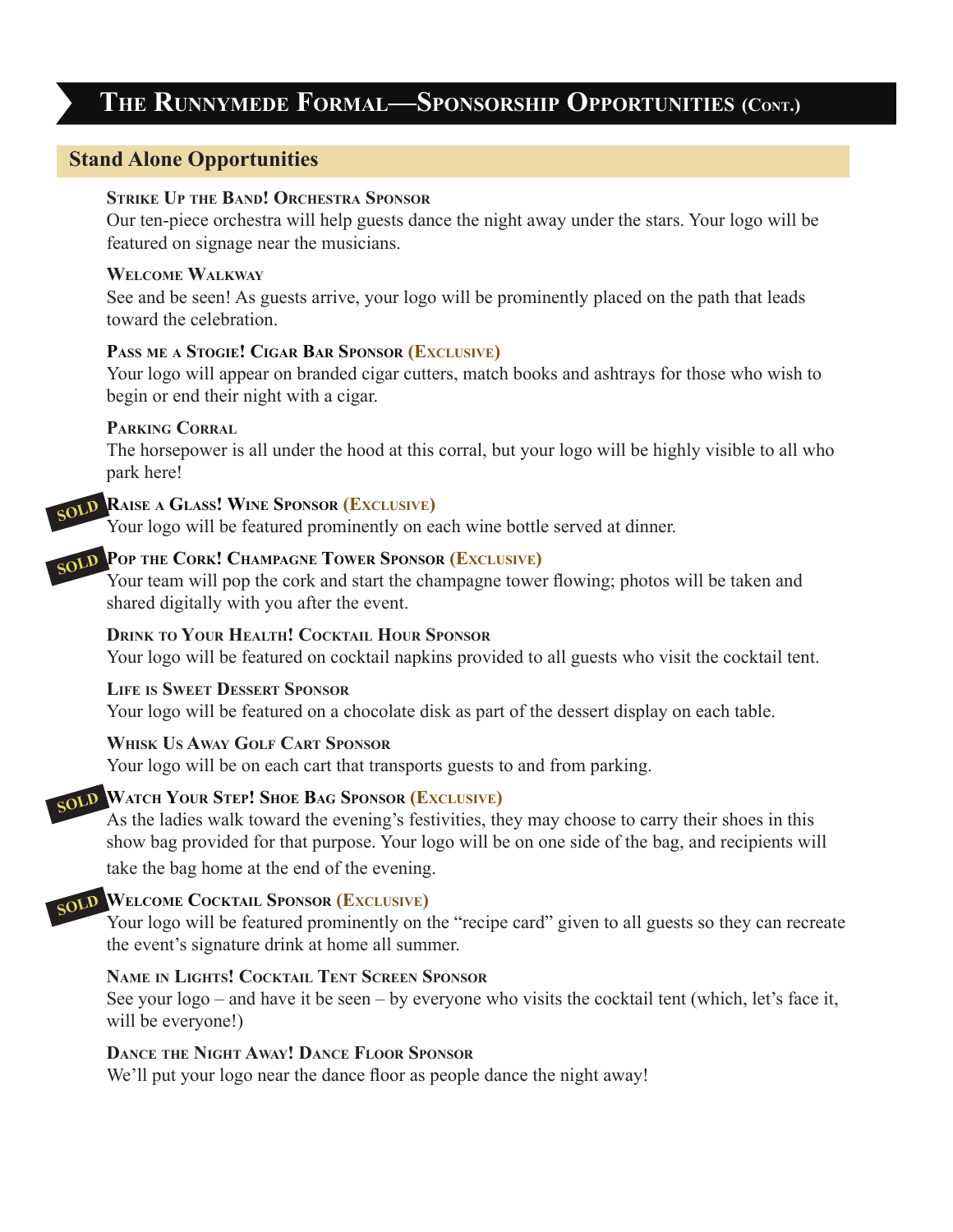# **The Runnymede Formal—Sponsorship Opportunities (Cont.)**

#### **Stand Alone Opportunities**

#### **Strike Up the Band! Orchestra Sponsor**

Our ten-piece orchestra will help guests dance the night away under the stars. Your logo will be featured on signage near the musicians.

#### **Welcome Walkway**

See and be seen! As guests arrive, your logo will be prominently placed on the path that leads toward the celebration.

#### **Pass me a Stogie! Cigar Bar Sponsor (Exclusive)**

Your logo will appear on branded cigar cutters, match books and ashtrays for those who wish to begin or end their night with a cigar.

#### **Parking Corral**

The horsepower is all under the hood at this corral, but your logo will be highly visible to all who park here!

# **Raise <sup>a</sup> Glass! Wine Sponsor (Exclusive) SOLD**

Your logo will be featured prominently on each wine bottle served at dinner.

# **Pop the Cork! Champagne Tower Sponsor (Exclusive) SOLD**

Your team will pop the cork and start the champagne tower flowing; photos will be taken and shared digitally with you after the event.

#### **Drink to Your Health! Cocktail Hour Sponsor**

Your logo will be featured on cocktail napkins provided to all guests who visit the cocktail tent.

#### **Life is Sweet Dessert Sponsor**

Your logo will be featured on a chocolate disk as part of the dessert display on each table.

#### **Whisk Us Away Golf Cart Sponsor**

Your logo will be on each cart that transports guests to and from parking.

## **Watch Your Step! Shoe Bag Sponsor (Exclusive) SOLD**

As the ladies walk toward the evening's festivities, they may choose to carry their shoes in this show bag provided for that purpose. Your logo will be on one side of the bag, and recipients will take the bag home at the end of the evening.

# **Welcome Cocktail Sponsor (Exclusive) SOLD**

Your logo will be featured prominently on the "recipe card" given to all guests so they can recreate the event's signature drink at home all summer.

#### **Name in Lights! Cocktail Tent Screen Sponsor**

See your logo – and have it be seen – by everyone who visits the cocktail tent (which, let's face it, will be everyone!)

#### **Dance the Night Away! Dance Floor Sponsor**

We'll put your logo near the dance floor as people dance the night away!